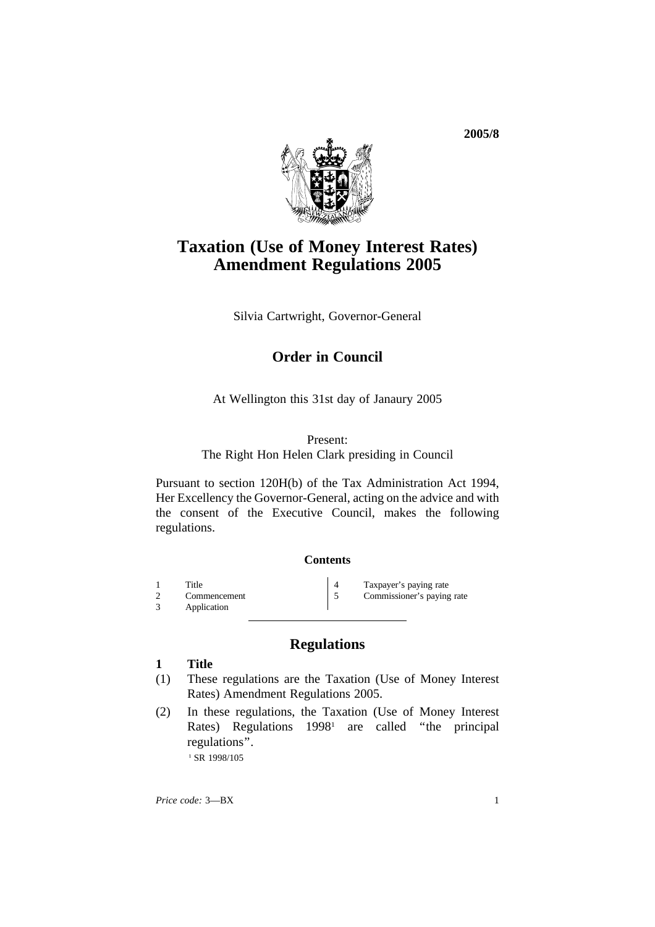**2005/8**



# **Taxation (Use of Money Interest Rates) Amendment Regulations 2005**

Silvia Cartwright, Governor-General

# **Order in Council**

At Wellington this 31st day of Janaury 2005

#### Present:

#### The Right Hon Helen Clark presiding in Council

Pursuant to section 120H(b) of the Tax Administration Act 1994, Her Excellency the Governor-General, acting on the advice and with the consent of the Executive Council, makes the following regulations.

#### **Contents**

1 Title 2 Commencement 1 Taxpayer's paying rate 2 Commencement 5 Commissioner's paying 2 Commencement 5 Commissioner's paying rate<br>3 Application Application

# **Regulations**

#### **1 Title**

- (1) These regulations are the Taxation (Use of Money Interest Rates) Amendment Regulations 2005.
- (2) In these regulations, the Taxation (Use of Money Interest Rates) Regulations 1998<sup>1</sup> are called "the principal regulations''. <sup>1</sup> SR 1998/105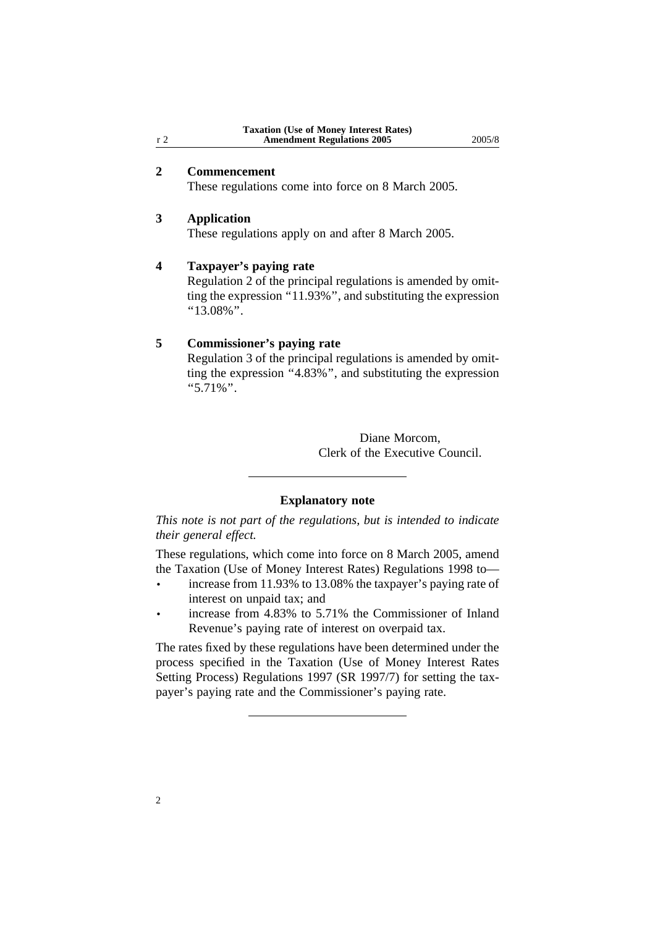## **2 Commencement**

These regulations come into force on 8 March 2005.

### **3 Application**

These regulations apply on and after 8 March 2005.

#### **4 Taxpayer's paying rate**

Regulation 2 of the principal regulations is amended by omitting the expression "11.93%", and substituting the expression  $"13.08\%"$ .

#### **5 Commissioner's paying rate**

Regulation 3 of the principal regulations is amended by omitting the expression "4.83%", and substituting the expression ''5.71%''.

> Diane Morcom, Clerk of the Executive Council.

### **Explanatory note**

*This note is not part of the regulations, but is intended to indicate their general effect.*

These regulations, which come into force on 8 March 2005, amend the Taxation (Use of Money Interest Rates) Regulations 1998 to—

- increase from 11.93% to 13.08% the taxpayer's paying rate of interest on unpaid tax; and
- increase from 4.83% to 5.71% the Commissioner of Inland Revenue's paying rate of interest on overpaid tax.

The rates fixed by these regulations have been determined under the process specified in the Taxation (Use of Money Interest Rates Setting Process) Regulations 1997 (SR 1997/7) for setting the taxpayer's paying rate and the Commissioner's paying rate.